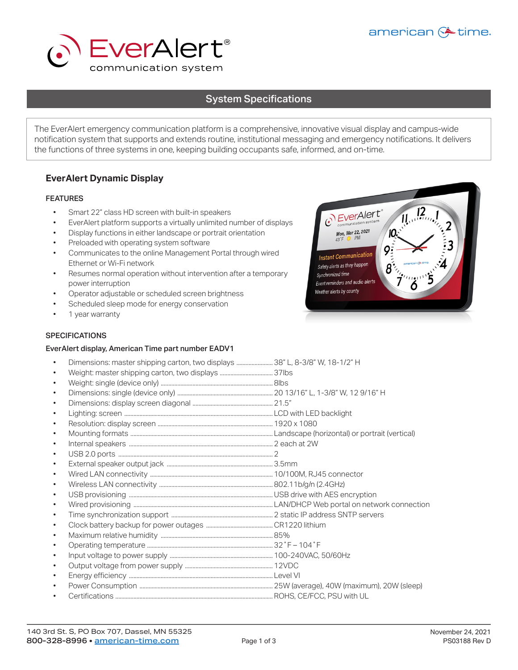



# System Specifications System Specifications

The EverAlert emergency communication platform is a comprehensive, innovative visual display and campus-wide notification system that supports and extends routine, institutional messaging and emergency notifications. It delivers the functions of three systems in one, keeping building occupants safe, informed, and on-time.

## **EverAlert Dynamic Display**

#### FEATURES

- Smart 22" class HD screen with built-in speakers<br>• EverAlert platform supports a virtually unlimited r
- EverAlert platform supports a virtually unlimited number of displays<br>• Display functions in either landscape or portrait orientation
- Display functions in either landscape or portrait orientation
- Preloaded with operating system software<br>• Communicates to the online Management
- Communicates to the online Management Portal through wired Ethernet or Wi-Fi network
- Resumes normal operation without intervention after a temporary power interruption
- Operator adjustable or scheduled screen brightness
- Scheduled sleep mode for energy conservation<br>• 1 year warranty
- 1 year warranty

# $\mathcal{C}$  EverAlert<sup>®</sup> Mon, Mar 22, 2021  $10<sub>1</sub>$ Ο **Instant Communication** Safety alerts as they happen Synchronized time Event reminders and audio alerts Weather alerts by county

### **SPECIFICATIONS**

#### EverAlert display, American Time part number EADV1

| $\bullet$ | Dimensions: master shipping carton, two displays  38" L, 8-3/8" W, 18-1/2" H |  |
|-----------|------------------------------------------------------------------------------|--|
| $\bullet$ |                                                                              |  |
| $\bullet$ |                                                                              |  |
| $\bullet$ |                                                                              |  |
| $\bullet$ |                                                                              |  |
| $\bullet$ |                                                                              |  |
| $\bullet$ |                                                                              |  |
| $\bullet$ |                                                                              |  |
| $\bullet$ |                                                                              |  |
| $\bullet$ |                                                                              |  |
| $\bullet$ |                                                                              |  |
| $\bullet$ |                                                                              |  |
| $\bullet$ |                                                                              |  |
| $\bullet$ |                                                                              |  |
| $\bullet$ |                                                                              |  |
| $\bullet$ |                                                                              |  |
| $\bullet$ |                                                                              |  |
| $\bullet$ |                                                                              |  |
| $\bullet$ |                                                                              |  |
| $\bullet$ |                                                                              |  |
| $\bullet$ |                                                                              |  |
| $\bullet$ |                                                                              |  |
| $\bullet$ |                                                                              |  |
| $\bullet$ |                                                                              |  |
|           |                                                                              |  |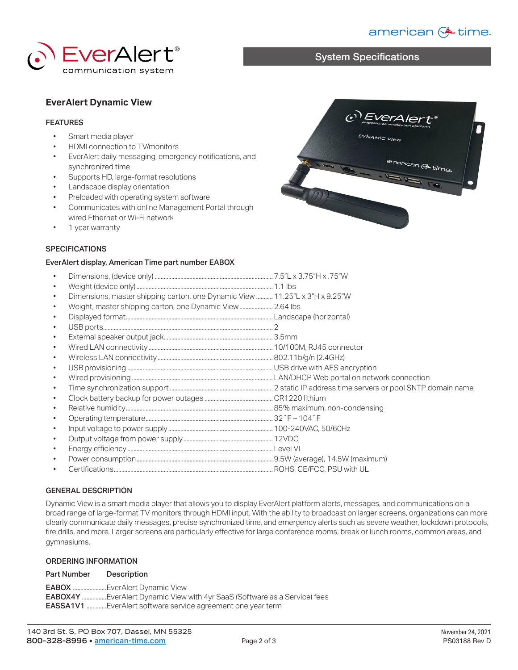# american (\* time.



# System Specifications

 $\left(\begin{matrix}0\\0\end{matrix}\right)$   $\text{EVCTA/err}_{\text{emogency communication pattern}}$ 

DYNAMIC View

### **EverAlert Dynamic View**

#### FEATURES

- Smart media player
- HDMI connection to TV/monitors<br>• EverAlert daily messaging emerge
- EverAlert daily messaging, emergency notifications, and synchronized time
- Supports HD, large-format resolutions
- Landscape display orientation
- Preloaded with operating system software
- Communicates with online Management Portal through wired Ethernet or Wi-Fi network
- 1 year warranty



#### **SPECIFICATIONS**

#### EverAlert display, American Time part number EABOX

| $\bullet$ |                                                                              |  |
|-----------|------------------------------------------------------------------------------|--|
| $\bullet$ |                                                                              |  |
| $\bullet$ | Dimensions, master shipping carton, one Dynamic View  11.25"L x 3"H x 9.25"W |  |
| $\bullet$ |                                                                              |  |
| $\bullet$ |                                                                              |  |
| $\bullet$ |                                                                              |  |
| $\bullet$ |                                                                              |  |
| $\bullet$ |                                                                              |  |
| $\bullet$ |                                                                              |  |
| $\bullet$ |                                                                              |  |
| $\bullet$ |                                                                              |  |
| $\bullet$ |                                                                              |  |
| $\bullet$ |                                                                              |  |
| $\bullet$ |                                                                              |  |
| $\bullet$ |                                                                              |  |
| $\bullet$ |                                                                              |  |
| $\bullet$ |                                                                              |  |
| $\bullet$ |                                                                              |  |
| $\bullet$ |                                                                              |  |
| $\bullet$ |                                                                              |  |

#### GENERAL DESCRIPTION

Dynamic View is a smart media player that allows you to display EverAlert platform alerts, messages, and communications on a broad range of large-format TV monitors through HDMI input. With the ability to broadcast on larger screens, organizations can more clearly communicate daily messages, precise synchronized time, and emergency alerts such as severe weather, lockdown protocols, fire drills, and more. Larger screens are particularly effective for large conference rooms, break or lunch rooms, common areas, and gymnasiums.

#### ORDERING INFORMATION

| <b>Part Number</b> | Description                                                                      |
|--------------------|----------------------------------------------------------------------------------|
|                    | <b>EABOX</b> EverAlert Dynamic View                                              |
|                    | <b>EABOX4Y</b> EverAlert Dynamic View with 4yr SaaS (Software as a Service) fees |
|                    | <b>EASSA1V1</b> EverAlert software service agreement one year term               |